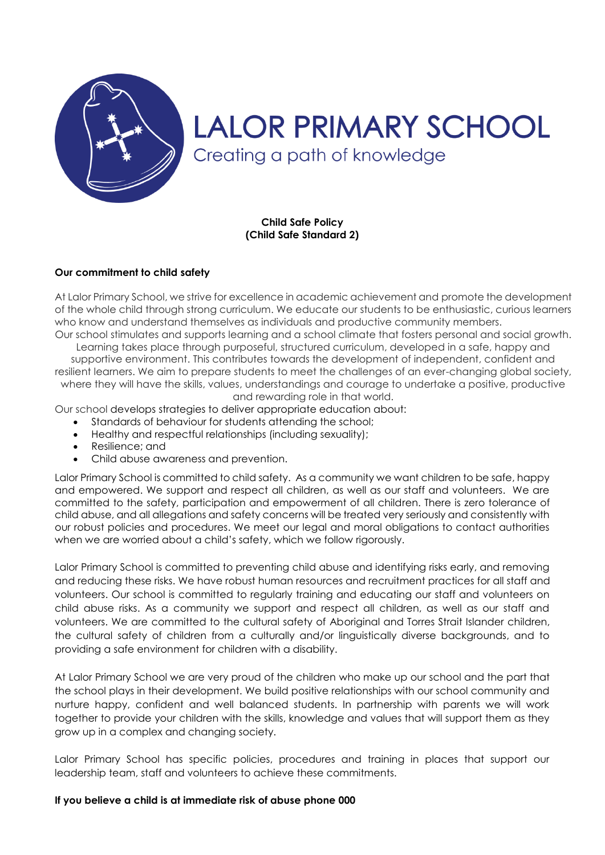

# **LALOR PRIMARY SCHOOL** Creating a path of knowledge

**Child Safe Policy (Child Safe Standard 2)**

#### **Our commitment to child safety**

At Lalor Primary School, we strive for excellence in academic achievement and promote the development of the whole child through strong curriculum. We educate our students to be enthusiastic, curious learners who know and understand themselves as individuals and productive community members.

Our school stimulates and supports learning and a school climate that fosters personal and social growth. Learning takes place through purposeful, structured curriculum, developed in a safe, happy and supportive environment. This contributes towards the development of independent, confident and resilient learners. We aim to prepare students to meet the challenges of an ever-changing global society, where they will have the skills, values, understandings and courage to undertake a positive, productive

and rewarding role in that world. Our school develops strategies to deliver appropriate education about:

- Standards of behaviour for students attending the school;
- Healthy and respectful relationships (including sexuality);
- Resilience; and
- Child abuse awareness and prevention.

Lalor Primary School is committed to child safety. As a community we want children to be safe, happy and empowered. We support and respect all children, as well as our staff and volunteers. We are committed to the safety, participation and empowerment of all children. There is zero tolerance of child abuse, and all allegations and safety concerns will be treated very seriously and consistently with our robust policies and procedures. We meet our legal and moral obligations to contact authorities when we are worried about a child's safety, which we follow rigorously.

Lalor Primary School is committed to preventing child abuse and identifying risks early, and removing and reducing these risks. We have robust human resources and recruitment practices for all staff and volunteers. Our school is committed to regularly training and educating our staff and volunteers on child abuse risks. As a community we support and respect all children, as well as our staff and volunteers. We are committed to the cultural safety of Aboriginal and Torres Strait Islander children, the cultural safety of children from a culturally and/or linguistically diverse backgrounds, and to providing a safe environment for children with a disability.

At Lalor Primary School we are very proud of the children who make up our school and the part that the school plays in their development. We build positive relationships with our school community and nurture happy, confident and well balanced students. In partnership with parents we will work together to provide your children with the skills, knowledge and values that will support them as they grow up in a complex and changing society.

Lalor Primary School has specific policies, procedures and training in places that support our leadership team, staff and volunteers to achieve these commitments.

## **If you believe a child is at immediate risk of abuse phone 000**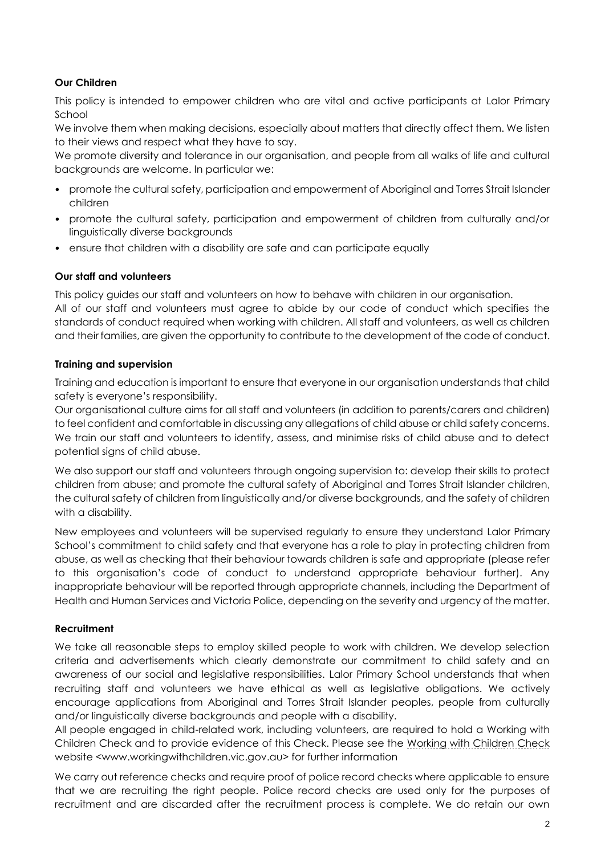## **Our Children**

This policy is intended to empower children who are vital and active participants at Lalor Primary School

We involve them when making decisions, especially about matters that directly affect them. We listen to their views and respect what they have to say.

We promote diversity and tolerance in our organisation, and people from all walks of life and cultural backgrounds are welcome. In particular we:

- promote the cultural safety, participation and empowerment of Aboriginal and Torres Strait Islander children
- promote the cultural safety, participation and empowerment of children from culturally and/or linguistically diverse backgrounds
- ensure that children with a disability are safe and can participate equally

## **Our staff and volunteers**

This policy guides our staff and volunteers on how to behave with children in our organisation. All of our staff and volunteers must agree to abide by our code of conduct which specifies the standards of conduct required when working with children. All staff and volunteers, as well as children and their families, are given the opportunity to contribute to the development of the code of conduct.

#### **Training and supervision**

Training and education is important to ensure that everyone in our organisation understands that child safety is everyone's responsibility.

Our organisational culture aims for all staff and volunteers (in addition to parents/carers and children) to feel confident and comfortable in discussing any allegations of child abuse or child safety concerns. We train our staff and volunteers to identify, assess, and minimise risks of child abuse and to detect potential signs of child abuse.

We also support our staff and volunteers through ongoing supervision to: develop their skills to protect children from abuse; and promote the cultural safety of Aboriginal and Torres Strait Islander children, the cultural safety of children from linguistically and/or diverse backgrounds, and the safety of children with a disability.

New employees and volunteers will be supervised regularly to ensure they understand Lalor Primary School's commitment to child safety and that everyone has a role to play in protecting children from abuse, as well as checking that their behaviour towards children is safe and appropriate (please refer to this organisation's code of conduct to understand appropriate behaviour further). Any inappropriate behaviour will be reported through appropriate channels, including the Department of Health and Human Services and Victoria Police, depending on the severity and urgency of the matter.

## **Recruitment**

We take all reasonable steps to employ skilled people to work with children. We develop selection criteria and advertisements which clearly demonstrate our commitment to child safety and an awareness of our social and legislative responsibilities. Lalor Primary School understands that when recruiting staff and volunteers we have ethical as well as legislative obligations. We actively encourage applications from Aboriginal and Torres Strait Islander peoples, people from culturally and/or linguistically diverse backgrounds and people with a disability.

All people engaged in child-related work, including volunteers, are required to hold a Working with Children Check and to provide evidence of this Check. Please see the [Working with Children Check](http://www.workingwithchildren.vic.gov.au/) website <www.workingwithchildren.vic.gov.au> for further information

We carry out reference checks and require proof of police record checks where applicable to ensure that we are recruiting the right people. Police record checks are used only for the purposes of recruitment and are discarded after the recruitment process is complete. We do retain our own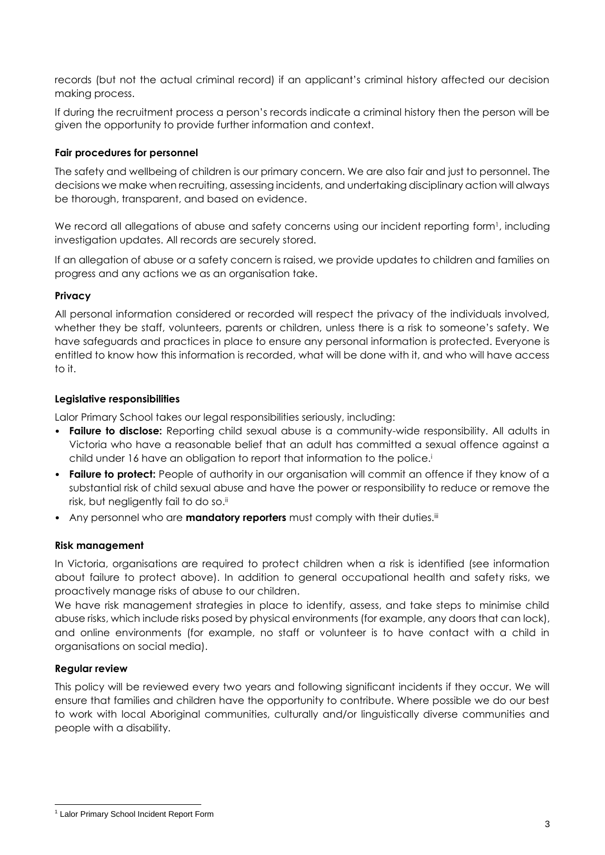records (but not the actual criminal record) if an applicant's criminal history affected our decision making process.

If during the recruitment process a person's records indicate a criminal history then the person will be given the opportunity to provide further information and context.

## **Fair procedures for personnel**

The safety and wellbeing of children is our primary concern. We are also fair and just to personnel. The decisions we make when recruiting, assessing incidents, and undertaking disciplinary action will always be thorough, transparent, and based on evidence.

We record all allegations of abuse and safety concerns using our incident reporting form<sup>1</sup>, including investigation updates. All records are securely stored.

If an allegation of abuse or a safety concern is raised, we provide updates to children and families on progress and any actions we as an organisation take.

## **Privacy**

All personal information considered or recorded will respect the privacy of the individuals involved, whether they be staff, volunteers, parents or children, unless there is a risk to someone's safety. We have safeguards and practices in place to ensure any personal information is protected. Everyone is entitled to know how this information is recorded, what will be done with it, and who will have access to it.

## **Legislative responsibilities**

Lalor Primary School takes our legal responsibilities seriously, including:

- **Failure to disclose:** Reporting child sexual abuse is a community-wide responsibility. All adults in Victoria who have a reasonable belief that an adult has committed a sexual offence against a child under 16 have an obligation to report that information to the police.<sup>i</sup>
- **Failure to protect:** People of authority in our organisation will commit an offence if they know of a substantial risk of child sexual abuse and have the power or responsibility to reduce or remove the risk, but negligently fail to do so.<sup>ii</sup>
- Any personnel who are **mandatory reporters** must comply with their duties.<sup>iii</sup>

## **Risk management**

In Victoria, organisations are required to protect children when a risk is identified (see information about failure to protect above). In addition to general occupational health and safety risks, we proactively manage risks of abuse to our children.

We have risk management strategies in place to identify, assess, and take steps to minimise child abuse risks, which include risks posed by physical environments (for example, any doors that can lock), and online environments (for example, no staff or volunteer is to have contact with a child in organisations on social media).

## **Regular review**

This policy will be reviewed every two years and following significant incidents if they occur. We will ensure that families and children have the opportunity to contribute. Where possible we do our best to work with local Aboriginal communities, culturally and/or linguistically diverse communities and people with a disability.

<sup>1</sup> <sup>1</sup> Lalor Primary School Incident Report Form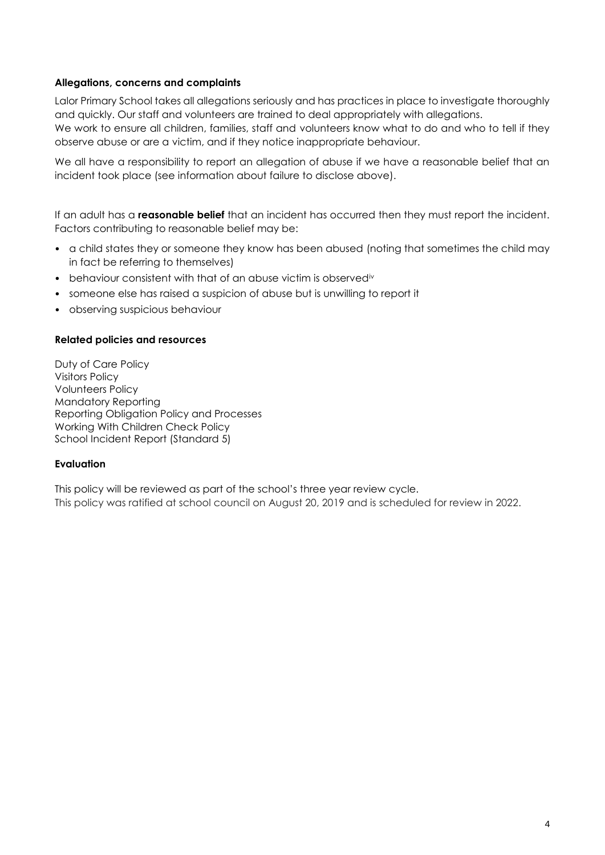#### **Allegations, concerns and complaints**

Lalor Primary School takes all allegations seriously and has practices in place to investigate thoroughly and quickly. Our staff and volunteers are trained to deal appropriately with allegations. We work to ensure all children, families, staff and volunteers know what to do and who to tell if they observe abuse or are a victim, and if they notice inappropriate behaviour.

We all have a responsibility to report an allegation of abuse if we have a reasonable belief that an incident took place (see information about failure to disclose above).

If an adult has a **reasonable belief** that an incident has occurred then they must report the incident. Factors contributing to reasonable belief may be:

- a child states they or someone they know has been abused (noting that sometimes the child may in fact be referring to themselves)
- behaviour consistent with that of an abuse victim is observed<sup>iv</sup>
- someone else has raised a suspicion of abuse but is unwilling to report it
- observing suspicious behaviour

#### **Related policies and resources**

Duty of Care Policy Visitors Policy Volunteers Policy Mandatory Reporting Reporting Obligation Policy and Processes Working With Children Check Policy School Incident Report (Standard 5)

#### **Evaluation**

This policy will be reviewed as part of the school's three year review cycle. This policy was ratified at school council on August 20, 2019 and is scheduled for review in 2022.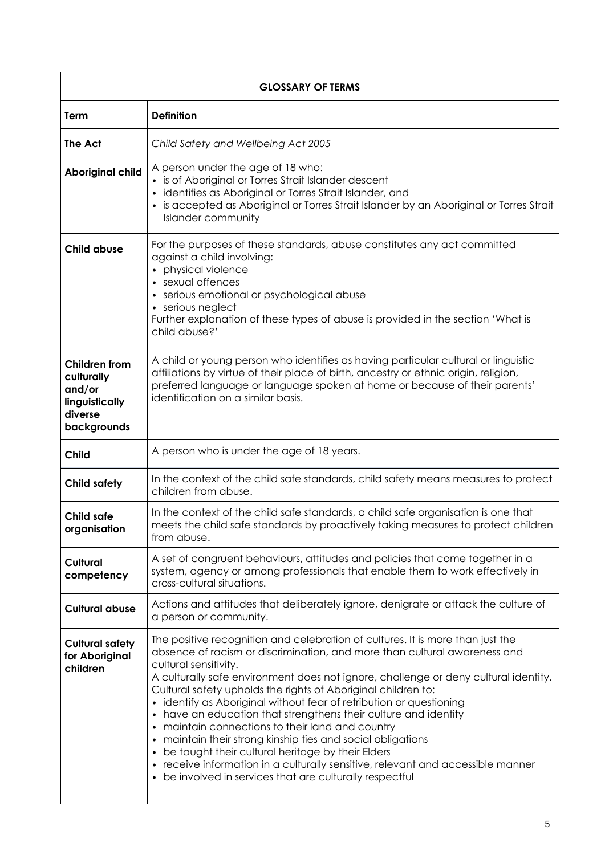| <b>GLOSSARY OF TERMS</b>                                                                 |                                                                                                                                                                                                                                                                                                                                                                                                                                                                                                                                                                                                                                                                                                                                                                                                                 |  |
|------------------------------------------------------------------------------------------|-----------------------------------------------------------------------------------------------------------------------------------------------------------------------------------------------------------------------------------------------------------------------------------------------------------------------------------------------------------------------------------------------------------------------------------------------------------------------------------------------------------------------------------------------------------------------------------------------------------------------------------------------------------------------------------------------------------------------------------------------------------------------------------------------------------------|--|
| Term                                                                                     | <b>Definition</b>                                                                                                                                                                                                                                                                                                                                                                                                                                                                                                                                                                                                                                                                                                                                                                                               |  |
| The Act                                                                                  | Child Safety and Wellbeing Act 2005                                                                                                                                                                                                                                                                                                                                                                                                                                                                                                                                                                                                                                                                                                                                                                             |  |
| <b>Aboriginal child</b>                                                                  | A person under the age of 18 who:<br>• is of Aboriginal or Torres Strait Islander descent<br>· identifies as Aboriginal or Torres Strait Islander, and<br>• is accepted as Aboriginal or Torres Strait Islander by an Aboriginal or Torres Strait<br><b>Islander community</b>                                                                                                                                                                                                                                                                                                                                                                                                                                                                                                                                  |  |
| <b>Child abuse</b>                                                                       | For the purposes of these standards, abuse constitutes any act committed<br>against a child involving:<br>• physical violence<br>• sexual offences<br>• serious emotional or psychological abuse<br>• serious neglect<br>Further explanation of these types of abuse is provided in the section 'What is<br>child abuse?'                                                                                                                                                                                                                                                                                                                                                                                                                                                                                       |  |
| <b>Children from</b><br>culturally<br>and/or<br>linguistically<br>diverse<br>backgrounds | A child or young person who identifies as having particular cultural or linguistic<br>affiliations by virtue of their place of birth, ancestry or ethnic origin, religion,<br>preferred language or language spoken at home or because of their parents'<br>identification on a similar basis.                                                                                                                                                                                                                                                                                                                                                                                                                                                                                                                  |  |
| <b>Child</b>                                                                             | A person who is under the age of 18 years.                                                                                                                                                                                                                                                                                                                                                                                                                                                                                                                                                                                                                                                                                                                                                                      |  |
| <b>Child safety</b>                                                                      | In the context of the child safe standards, child safety means measures to protect<br>children from abuse.                                                                                                                                                                                                                                                                                                                                                                                                                                                                                                                                                                                                                                                                                                      |  |
| Child safe<br>organisation                                                               | In the context of the child safe standards, a child safe organisation is one that<br>meets the child safe standards by proactively taking measures to protect children<br>from abuse.                                                                                                                                                                                                                                                                                                                                                                                                                                                                                                                                                                                                                           |  |
| <b>Cultural</b><br>competency                                                            | A set of congruent behaviours, attitudes and policies that come together in a<br>system, agency or among professionals that enable them to work effectively in<br>cross-cultural situations.                                                                                                                                                                                                                                                                                                                                                                                                                                                                                                                                                                                                                    |  |
| <b>Cultural abuse</b>                                                                    | Actions and attitudes that deliberately ignore, denigrate or attack the culture of<br>a person or community.                                                                                                                                                                                                                                                                                                                                                                                                                                                                                                                                                                                                                                                                                                    |  |
| <b>Cultural safety</b><br>for Aboriginal<br>children                                     | The positive recognition and celebration of cultures. It is more than just the<br>absence of racism or discrimination, and more than cultural awareness and<br>cultural sensitivity.<br>A culturally safe environment does not ignore, challenge or deny cultural identity.<br>Cultural safety upholds the rights of Aboriginal children to:<br>· identify as Aboriginal without fear of retribution or questioning<br>• have an education that strengthens their culture and identity<br>• maintain connections to their land and country<br>• maintain their strong kinship ties and social obligations<br>• be taught their cultural heritage by their Elders<br>• receive information in a culturally sensitive, relevant and accessible manner<br>• be involved in services that are culturally respectful |  |